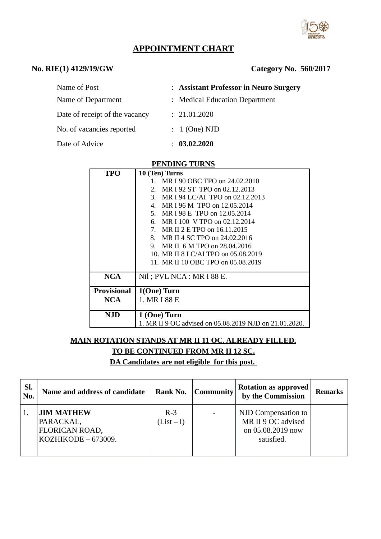

# **APPOINTMENT CHART**

### **No. RIE(1) 4129/19/GW**

| Name of Post                   | : Assistant Professor in Neuro Surgery |
|--------------------------------|----------------------------------------|
| Name of Department             | : Medical Education Department         |
| Date of receipt of the vacancy | : 21.01.2020                           |
| No. of vacancies reported      | $: 1$ (One) NJD                        |
| Date of Advice                 | 03.02.2020                             |

#### **PENDING TURNS**

| <b>TPO</b>         | 10 (Ten) Turns                                         |  |  |
|--------------------|--------------------------------------------------------|--|--|
|                    | 1. MR I 90 OBC TPO on 24.02.2010                       |  |  |
|                    | MR I 92 ST TPO on 02.12.2013<br>2.                     |  |  |
|                    | 3. MR I 94 LC/AI TPO on 02.12.2013                     |  |  |
|                    | 4. MR I 96 M TPO on 12.05.2014                         |  |  |
|                    | 5. MR I 98 E TPO on 12.05.2014                         |  |  |
|                    | 6. MR I 100 V TPO on 02.12.2014                        |  |  |
|                    | 7. MR II 2 E TPO on 16.11.2015                         |  |  |
|                    | 8. MR II 4 SC TPO on 24,02,2016                        |  |  |
|                    | 9. MR II 6 M TPO on 28,04,2016                         |  |  |
|                    | 10. MR II 8 LC/AI TPO on 05.08.2019                    |  |  |
|                    | 11. MR II 10 OBC TPO on 05.08.2019                     |  |  |
| <b>NCA</b>         | Nil; PVL NCA : MR I 88 E.                              |  |  |
| <b>Provisional</b> | 1(One) Turn                                            |  |  |
| NCA.               | 1. MR I 88 E                                           |  |  |
|                    |                                                        |  |  |
| NJD                | 1 (One) Turn                                           |  |  |
|                    | 1. MR II 9 OC advised on 05.08.2019 NJD on 21.01.2020. |  |  |

## **MAIN ROTATION STANDS AT MR II 11 OC, ALREADY FILLED. TO BE CONTINUED FROM MR II 12 SC.**

**DA Candidates are not eligible for this post.** 

| SI.<br>No. | Name and address of candidate                                             | Rank No.            | Community | <b>Rotation as approved</b><br>by the Commission                             | <b>Remarks</b> |
|------------|---------------------------------------------------------------------------|---------------------|-----------|------------------------------------------------------------------------------|----------------|
|            | <b>JIM MATHEW</b><br>PARACKAL,<br>FLORICAN ROAD,<br>$KOZHIKODE - 673009.$ | $R-3$<br>$(List-I)$ |           | NJD Compensation to<br>MR II 9 OC advised<br>on 05.08.2019 now<br>satisfied. |                |